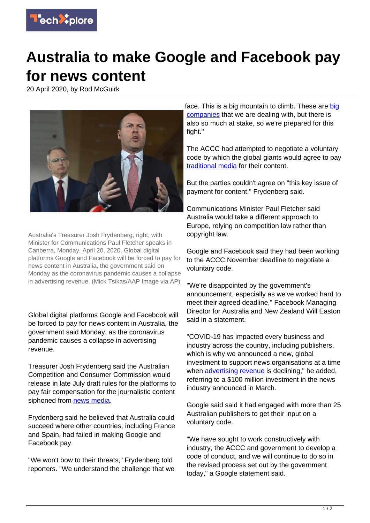

## **Australia to make Google and Facebook pay for news content**

20 April 2020, by Rod McGuirk



Australia's Treasurer Josh Frydenberg, right, with Minister for Communications Paul Fletcher speaks in Canberra, Monday, April 20, 2020. Global digital platforms Google and Facebook will be forced to pay for news content in Australia, the government said on Monday as the coronavirus pandemic causes a collapse in advertising revenue. (Mick Tsikas/AAP Image via AP)

Global digital platforms Google and Facebook will be forced to pay for news content in Australia, the government said Monday, as the coronavirus pandemic causes a collapse in advertising revenue.

Treasurer Josh Frydenberg said the Australian Competition and Consumer Commission would release in late July draft rules for the platforms to pay fair compensation for the journalistic content siphoned from [news media.](https://techxplore.com/tags/news+media/)

Frydenberg said he believed that Australia could succeed where other countries, including France and Spain, had failed in making Google and Facebook pay.

"We won't bow to their threats," Frydenberg told reporters. "We understand the challenge that we face. This is a [big](https://techxplore.com/tags/big+companies/) mountain to climb. These are big [companies](https://techxplore.com/tags/big+companies/) that we are dealing with, but there is also so much at stake, so we're prepared for this fight."

The ACCC had attempted to negotiate a voluntary code by which the global giants would agree to pay [traditional media](https://techxplore.com/tags/traditional+media/) for their content.

But the parties couldn't agree on "this key issue of payment for content," Frydenberg said.

Communications Minister Paul Fletcher said Australia would take a different approach to Europe, relying on competition law rather than copyright law.

Google and Facebook said they had been working to the ACCC November deadline to negotiate a voluntary code.

"We're disappointed by the government's announcement, especially as we've worked hard to meet their agreed deadline," Facebook Managing Director for Australia and New Zealand Will Easton said in a statement.

"COVID-19 has impacted every business and industry across the country, including publishers, which is why we announced a new, global investment to support news organisations at a time when [advertising revenue](https://techxplore.com/tags/advertising+revenue/) is declining." he added, referring to a \$100 million investment in the news industry announced in March.

Google said said it had engaged with more than 25 Australian publishers to get their input on a voluntary code.

"We have sought to work constructively with industry, the ACCC and government to develop a code of conduct, and we will continue to do so in the revised process set out by the government today," a Google statement said.